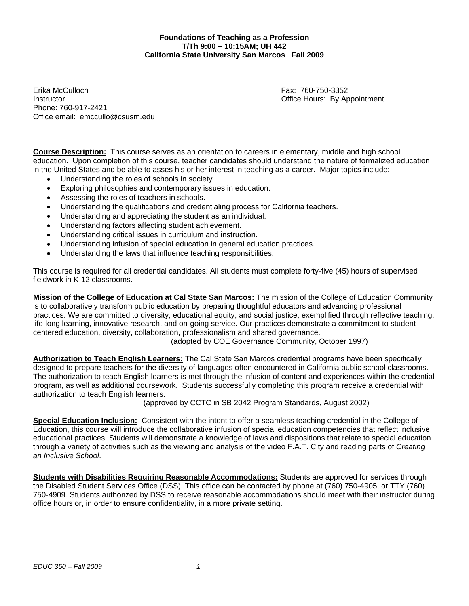**Foundations of Teaching as a Profession T/Th 9:00 – 10:15AM; UH 442 California State University San Marcos Fall 2009** 

Erika McCulloch Fax: 760-750-3352 Instructor **Instructor Contract Contract Contract Contract Contract Contract Contract Contract Contract Contract Contract Contract Contract Contract Contract Contract Contract Contract Contract Contract Contract Contract** Phone: 760-917-2421 Office email: emccullo@csusm.edu

**Course Description:** This course serves as an orientation to careers in elementary, middle and high school education. Upon completion of this course, teacher candidates should understand the nature of formalized education in the United States and be able to asses his or her interest in teaching as a career. Major topics include:

- Understanding the roles of schools in society
- Exploring philosophies and contemporary issues in education.
- Assessing the roles of teachers in schools.
- Understanding the qualifications and credentialing process for California teachers.
- Understanding and appreciating the student as an individual.
- Understanding factors affecting student achievement.
- Understanding critical issues in curriculum and instruction.
- Understanding infusion of special education in general education practices.
- Understanding the laws that influence teaching responsibilities.

This course is required for all credential candidates. All students must complete forty-five (45) hours of supervised fieldwork in K-12 classrooms.

**Mission of the College of Education at Cal State San Marcos:** The mission of the College of Education Community is to collaboratively transform public education by preparing thoughtful educators and advancing professional practices. We are committed to diversity, educational equity, and social justice, exemplified through reflective teaching, life-long learning, innovative research, and on-going service. Our practices demonstrate a commitment to studentcentered education, diversity, collaboration, professionalism and shared governance.

(adopted by COE Governance Community, October 1997)

**Authorization to Teach English Learners:** The Cal State San Marcos credential programs have been specifically designed to prepare teachers for the diversity of languages often encountered in California public school classrooms. The authorization to teach English learners is met through the infusion of content and experiences within the credential program, as well as additional coursework. Students successfully completing this program receive a credential with authorization to teach English learners.

(approved by CCTC in SB 2042 Program Standards, August 2002)

 **Special Education Inclusion:** Consistent with the intent to offer a seamless teaching credential in the College of Education, this course will introduce the collaborative infusion of special education competencies that reflect inclusive educational practices. Students will demonstrate a knowledge of laws and dispositions that relate to special education through a variety of activities such as the viewing and analysis of the video F.A.T. City and reading parts of *Creating an Inclusive School*.

**Students with Disabilities Requiring Reasonable Accommodations:** Students are approved for services through the Disabled Student Services Office (DSS). This office can be contacted by phone at (760) 750-4905, or TTY (760) 750-4909. Students authorized by DSS to receive reasonable accommodations should meet with their instructor during office hours or, in order to ensure confidentiality, in a more private setting.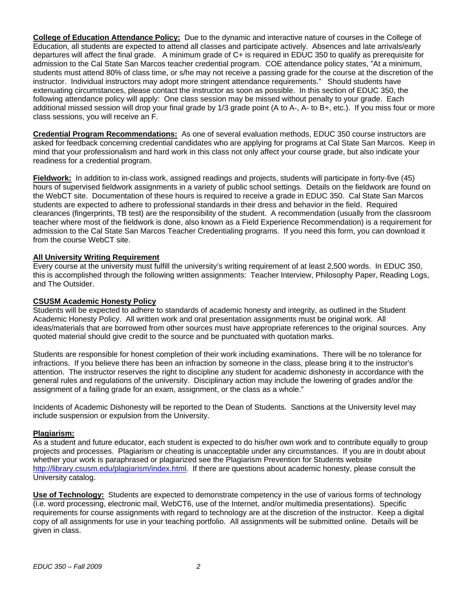**College of Education Attendance Policy:** Due to the dynamic and interactive nature of courses in the College of Education, all students are expected to attend all classes and participate actively. Absences and late arrivals/early departures will affect the final grade. A minimum grade of C+ is required in EDUC 350 to qualify as prerequisite for admission to the Cal State San Marcos teacher credential program. COE attendance policy states, "At a minimum, students must attend 80% of class time, or s/he may not receive a passing grade for the course at the discretion of the instructor. Individual instructors may adopt more stringent attendance requirements." Should students have extenuating circumstances, please contact the instructor as soon as possible. In this section of EDUC 350, the following attendance policy will apply: One class session may be missed without penalty to your grade. Each additional missed session will drop your final grade by 1/3 grade point (A to A-, A- to B+, etc.). If you miss four or more class sessions, you will receive an F.

**Credential Program Recommendations:** As one of several evaluation methods, EDUC 350 course instructors are asked for feedback concerning credential candidates who are applying for programs at Cal State San Marcos. Keep in mind that your professionalism and hard work in this class not only affect your course grade, but also indicate your readiness for a credential program.

**Fieldwork:** In addition to in-class work, assigned readings and projects, students will participate in forty-five (45) hours of supervised fieldwork assignments in a variety of public school settings. Details on the fieldwork are found on the WebCT site. Documentation of these hours is required to receive a grade in EDUC 350. Cal State San Marcos students are expected to adhere to professional standards in their dress and behavior in the field. Required clearances (fingerprints, TB test) are the responsibility of the student. A recommendation (usually from the classroom teacher where most of the fieldwork is done, also known as a Field Experience Recommendation) is a requirement for admission to the Cal State San Marcos Teacher Credentialing programs. If you need this form, you can download it from the course WebCT site.

## **All University Writing Requirement**

Every course at the university must fulfill the university's writing requirement of at least 2,500 words. In EDUC 350, this is accomplished through the following written assignments: Teacher Interview, Philosophy Paper, Reading Logs, and The Outsider.

#### **CSUSM Academic Honesty Policy**

Students will be expected to adhere to standards of academic honesty and integrity, as outlined in the Student Academic Honesty Policy. All written work and oral presentation assignments must be original work. All ideas/materials that are borrowed from other sources must have appropriate references to the original sources. Any quoted material should give credit to the source and be punctuated with quotation marks.

Students are responsible for honest completion of their work including examinations. There will be no tolerance for infractions. If you believe there has been an infraction by someone in the class, please bring it to the instructor's attention. The instructor reserves the right to discipline any student for academic dishonesty in accordance with the general rules and regulations of the university. Disciplinary action may include the lowering of grades and/or the assignment of a failing grade for an exam, assignment, or the class as a whole."

Incidents of Academic Dishonesty will be reported to the Dean of Students. Sanctions at the University level may include suspension or expulsion from the University.

#### **Plagiarism:**

As a student and future educator, each student is expected to do his/her own work and to contribute equally to group projects and processes. Plagiarism or cheating is unacceptable under any circumstances. If you are in doubt about whether your work is paraphrased or plagiarized see the Plagiarism Prevention for Students website http://library.csusm.edu/plagiarism/index.html. If there are questions about academic honesty, please consult the University catalog.

**Use of Technology:** Students are expected to demonstrate competency in the use of various forms of technology (i.e. word processing, electronic mail, WebCT6, use of the Internet, and/or multimedia presentations). Specific requirements for course assignments with regard to technology are at the discretion of the instructor. Keep a digital copy of all assignments for use in your teaching portfolio. All assignments will be submitted online. Details will be given in class.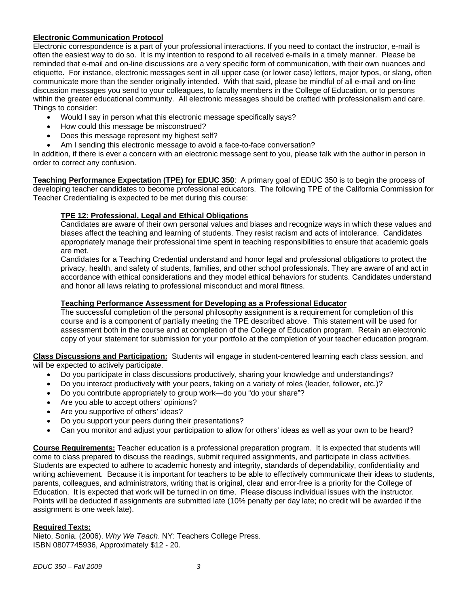## **Electronic Communication Protocol**

Electronic correspondence is a part of your professional interactions. If you need to contact the instructor, e-mail is often the easiest way to do so. It is my intention to respond to all received e-mails in a timely manner. Please be reminded that e-mail and on-line discussions are a very specific form of communication, with their own nuances and etiquette. For instance, electronic messages sent in all upper case (or lower case) letters, major typos, or slang, often communicate more than the sender originally intended. With that said, please be mindful of all e-mail and on-line discussion messages you send to your colleagues, to faculty members in the College of Education, or to persons within the greater educational community. All electronic messages should be crafted with professionalism and care. Things to consider:

- Would I say in person what this electronic message specifically says?
- How could this message be misconstrued?
- Does this message represent my highest self?
- Am I sending this electronic message to avoid a face-to-face conversation?

In addition, if there is ever a concern with an electronic message sent to you, please talk with the author in person in order to correct any confusion.

**Teaching Performance Expectation (TPE) for EDUC 350**: A primary goal of EDUC 350 is to begin the process of developing teacher candidates to become professional educators. The following TPE of the California Commission for Teacher Credentialing is expected to be met during this course:

## **TPE 12: Professional, Legal and Ethical Obligations**

Candidates are aware of their own personal values and biases and recognize ways in which these values and biases affect the teaching and learning of students. They resist racism and acts of intolerance. Candidates appropriately manage their professional time spent in teaching responsibilities to ensure that academic goals are met.

Candidates for a Teaching Credential understand and honor legal and professional obligations to protect the privacy, health, and safety of students, families, and other school professionals. They are aware of and act in accordance with ethical considerations and they model ethical behaviors for students. Candidates understand and honor all laws relating to professional misconduct and moral fitness.

### **Teaching Performance Assessment for Developing as a Professional Educator**

The successful completion of the personal philosophy assignment is a requirement for completion of this course and is a component of partially meeting the TPE described above. This statement will be used for assessment both in the course and at completion of the College of Education program. Retain an electronic copy of your statement for submission for your portfolio at the completion of your teacher education program.

**Class Discussions and Participation:** Students will engage in student-centered learning each class session, and will be expected to actively participate.

- Do you participate in class discussions productively, sharing your knowledge and understandings?
- Do you interact productively with your peers, taking on a variety of roles (leader, follower, etc.)?
- Do you contribute appropriately to group work—do you "do your share"?
- Are you able to accept others' opinions?
- Are you supportive of others' ideas?
- Do you support your peers during their presentations?
- Can you monitor and adjust your participation to allow for others' ideas as well as your own to be heard?

**Course Requirements:** Teacher education is a professional preparation program. It is expected that students will come to class prepared to discuss the readings, submit required assignments, and participate in class activities. Students are expected to adhere to academic honesty and integrity, standards of dependability, confidentiality and writing achievement. Because it is important for teachers to be able to effectively communicate their ideas to students, parents, colleagues, and administrators, writing that is original, clear and error-free is a priority for the College of Education. It is expected that work will be turned in on time. Please discuss individual issues with the instructor. Points will be deducted if assignments are submitted late (10% penalty per day late; no credit will be awarded if the assignment is one week late).

#### **Required Texts:**

Nieto, Sonia. (2006). *Why We Teach*. NY: Teachers College Press. ISBN 0807745936, Approximately \$12 - 20.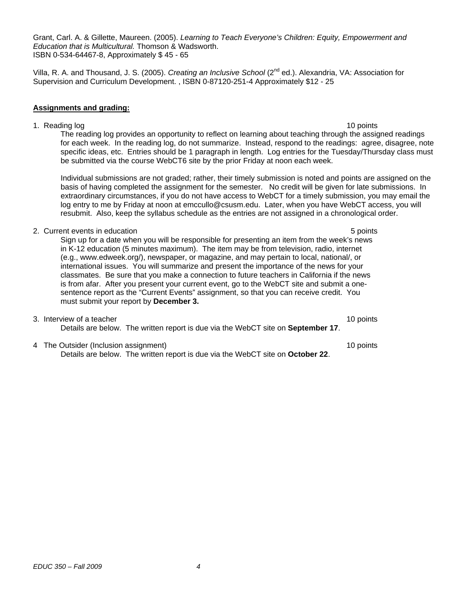Grant, Carl. A. & Gillette, Maureen. (2005). *Learning to Teach Everyone's Children: Equity, Empowerment and Education that is Multicultural.* Thomson & Wadsworth. ISBN 0-534-64467-8, Approximately \$ 45 - 65

Villa, R. A. and Thousand, J. S. (2005). *Creating an Inclusive School* (2nd ed.). Alexandria, VA: Association for Supervision and Curriculum Development. , ISBN 0-87120-251-4 Approximately \$12 - 25

#### **Assignments and grading:**

be submitted via the course WebCT6 site by the prior Friday at noon each week. 1. Reading log 10 points and the set of the set of the set of the set of the set of the set of the set of the set of the set of the set of the set of the set of the set of the set of the set of the set of the set of the se The reading log provides an opportunity to reflect on learning about teaching through the assigned readings for each week. In the reading log, do not summarize. Instead, respond to the readings: agree, disagree, note specific ideas, etc. Entries should be 1 paragraph in length. Log entries for the Tuesday/Thursday class must

Individual submissions are not graded; rather, their timely submission is noted and points are assigned on the basis of having completed the assignment for the semester. No credit will be given for late submissions. In extraordinary circumstances, if you do not have access to WebCT for a timely submission, you may email the log entry to me by Friday at noon at emccullo@csusm.edu. Later, when you have WebCT access, you will resubmit. Also, keep the syllabus schedule as the entries are not assigned in a chronological order.

2. Current events in education **5 points**  $\sim$  5 points **5 points** 

Sign up for a date when you will be responsible for presenting an item from the week's news in K-12 education (5 minutes maximum). The item may be from television, radio, internet (e.g., www.edweek.org/), newspaper, or magazine, and may pertain to local, national/, or international issues. You will summarize and present the importance of the news for your classmates. Be sure that you make a connection to future teachers in California if the news is from afar. After you present your current event, go to the WebCT site and submit a onesentence report as the "Current Events" assignment, so that you can receive credit. You must submit your report by **December 3.** 

- 3. Interview of a teacher 10 points and the set of a teacher 10 points of a teacher 10 points of a teacher 10 points of a teacher 10 points of a teacher 10 points of a teacher 10 points of a teacher 10 points of a teacher Details are below. The written report is due via the WebCT site on **September 17**.
- 4 The Outsider (Inclusion assignment) 10 points Details are below. The written report is due via the WebCT site on **October 22**.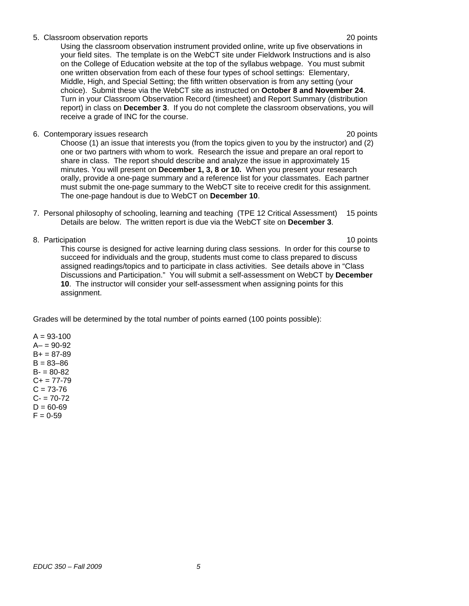#### 5. Classroom observation reports 20 points

Using the classroom observation instrument provided online, write up five observations in your field sites. The template is on the WebCT site under Fieldwork Instructions and is also on the College of Education website at the top of the syllabus webpage. You must submit one written observation from each of these four types of school settings: Elementary, Middle, High, and Special Setting; the fifth written observation is from any setting (your choice). Submit these via the WebCT site as instructed on **October 8 and November 24**. Turn in your Classroom Observation Record (timesheet) and Report Summary (distribution report) in class on **December 3**. If you do not complete the classroom observations, you will receive a grade of INC for the course.

6. Contemporary issues research 20 points

Choose (1) an issue that interests you (from the topics given to you by the instructor) and (2) one or two partners with whom to work. Research the issue and prepare an oral report to share in class. The report should describe and analyze the issue in approximately 15 minutes. You will present on **December 1, 3, 8 or 10.** When you present your research orally, provide a one-page summary and a reference list for your classmates. Each partner must submit the one-page summary to the WebCT site to receive credit for this assignment. The one-page handout is due to WebCT on **December 10**.

- 7. Personal philosophy of schooling, learning and teaching (TPE 12 Critical Assessment) 15 points Details are below. The written report is due via the WebCT site on **December 3**.
- 8. Participation 10 points and the set of the set of the set of the set of the set of the set of the set of the set of the set of the set of the set of the set of the set of the set of the set of the set of the set of the

This course is designed for active learning during class sessions. In order for this course to succeed for individuals and the group, students must come to class prepared to discuss assigned readings/topics and to participate in class activities. See details above in "Class Discussions and Participation." You will submit a self-assessment on WebCT by **December 10**. The instructor will consider your self-assessment when assigning points for this assignment.

Grades will be determined by the total number of points earned (100 points possible):

 $A = 93 - 100$  $A - 90 - 92$  $B+ = 87-89$  $B = 83 - 86$  $B - 80 - 82$  $C+= 77-79$  $C = 73 - 76$  $C = 70-72$  $D = 60 - 69$  $F = 0.59$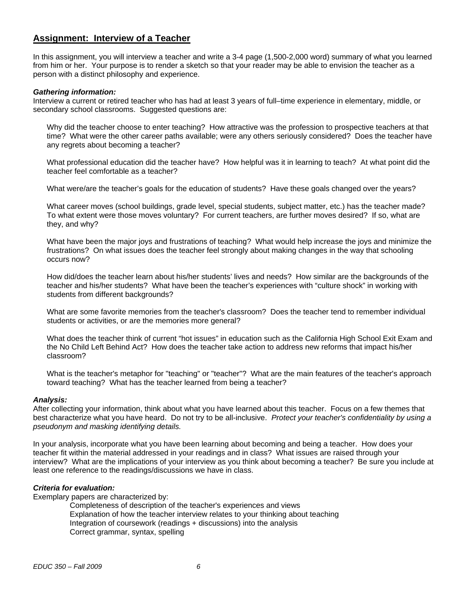## **Assignment: Interview of a Teacher**

In this assignment, you will interview a teacher and write a 3-4 page (1,500-2,000 word) summary of what you learned from him or her. Your purpose is to render a sketch so that your reader may be able to envision the teacher as a person with a distinct philosophy and experience.

#### *Gathering information:*

Interview a current or retired teacher who has had at least 3 years of full–time experience in elementary, middle, or secondary school classrooms. Suggested questions are:

Why did the teacher choose to enter teaching? How attractive was the profession to prospective teachers at that time? What were the other career paths available; were any others seriously considered? Does the teacher have any regrets about becoming a teacher?

What professional education did the teacher have? How helpful was it in learning to teach? At what point did the teacher feel comfortable as a teacher?

What were/are the teacher's goals for the education of students? Have these goals changed over the years?

What career moves (school buildings, grade level, special students, subject matter, etc.) has the teacher made? To what extent were those moves voluntary? For current teachers, are further moves desired? If so, what are they, and why?

What have been the major joys and frustrations of teaching? What would help increase the joys and minimize the frustrations? On what issues does the teacher feel strongly about making changes in the way that schooling occurs now?

How did/does the teacher learn about his/her students' lives and needs? How similar are the backgrounds of the teacher and his/her students? What have been the teacher's experiences with "culture shock" in working with students from different backgrounds?

What are some favorite memories from the teacher's classroom? Does the teacher tend to remember individual students or activities, or are the memories more general?

What does the teacher think of current "hot issues" in education such as the California High School Exit Exam and the No Child Left Behind Act? How does the teacher take action to address new reforms that impact his/her classroom?

What is the teacher's metaphor for "teaching" or "teacher"? What are the main features of the teacher's approach toward teaching? What has the teacher learned from being a teacher?

#### *Analysis:*

After collecting your information, think about what you have learned about this teacher. Focus on a few themes that best characterize what you have heard. Do not try to be all-inclusive. *Protect your teacher's confidentiality by using a pseudonym and masking identifying details.* 

In your analysis, incorporate what you have been learning about becoming and being a teacher. How does your teacher fit within the material addressed in your readings and in class? What issues are raised through your interview? What are the implications of your interview as you think about becoming a teacher? Be sure you include at least one reference to the readings/discussions we have in class.

#### *Criteria for evaluation:*

Exemplary papers are characterized by:

Completeness of description of the teacher's experiences and views Explanation of how the teacher interview relates to your thinking about teaching Integration of coursework (readings + discussions) into the analysis Correct grammar, syntax, spelling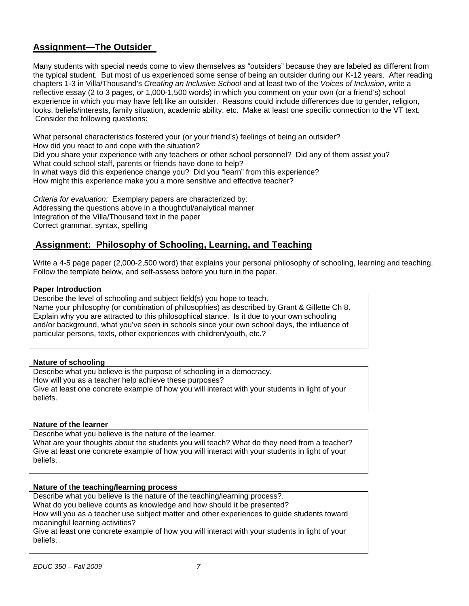# **Assignment—The Outsider**

Many students with special needs come to view themselves as "outsiders" because they are labeled as different from the typical student. But most of us experienced some sense of being an outsider during our K-12 years. After reading chapters 1-3 in Villa/Thousand's *Creating an Inclusive School* and at least two of the *Voices of Inclusion*, write a reflective essay (2 to 3 pages, or 1,000-1,500 words) in which you comment on your own (or a friend's) school experience in which you may have felt like an outsider. Reasons could include differences due to gender, religion, looks, beliefs/interests, family situation, academic ability, etc. Make at least one specific connection to the VT text. Consider the following questions:

What personal characteristics fostered your (or your friend's) feelings of being an outsider? How did you react to and cope with the situation? Did you share your experience with any teachers or other school personnel? Did any of them assist you? What could school staff, parents or friends have done to help? In what ways did this experience change you? Did you "learn" from this experience? How might this experience make you a more sensitive and effective teacher?

*Criteria for evaluation:* Exemplary papers are characterized by: Addressing the questions above in a thoughtful/analytical manner Integration of the Villa/Thousand text in the paper Correct grammar, syntax, spelling

## **Assignment: Philosophy of Schooling, Learning, and Teaching**

Write a 4-5 page paper (2,000-2,500 word) that explains your personal philosophy of schooling, learning and teaching. Follow the template below, and self-assess before you turn in the paper.

## **Paper Introduction**

Describe the level of schooling and subject field(s) you hope to teach. Name your philosophy (or combination of philosophies) as described by Grant & Gillette Ch 8. Explain why you are attracted to this philosophical stance. Is it due to your own schooling and/or background, what you've seen in schools since your own school days, the influence of particular persons, texts, other experiences with children/youth, etc.?

## **Nature of schooling**

Describe what you believe is the purpose of schooling in a democracy. How will you as a teacher help achieve these purposes? Give at least one concrete example of how you will interact with your students in light of your beliefs.

## **Nature of the learner**

Describe what you believe is the nature of the learner. What are your thoughts about the students you will teach? What do they need from a teacher? Give at least one concrete example of how you will interact with your students in light of your beliefs.

#### **Nature of the teaching/learning process**

Describe what you believe is the nature of the teaching/learning process?. What do you believe counts as knowledge and how should it be presented? How will you as a teacher use subject matter and other experiences to guide students toward meaningful learning activities? Give at least one concrete example of how you will interact with your students in light of your beliefs.